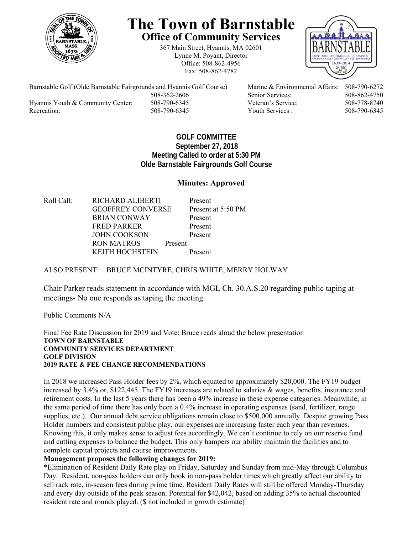

# **The Town of Barnstable Office of Community Services**

367 Main Street, Hyannis, MA 02601 Lynne M. Poyant, Director Office: 508-862-4956 Fax: 508-862-4782



Barnstable Golf (Olde Barnstable Fairgrounds and Hyannis Golf Course) Marine & Environmental Affairs: 508-790-6272 508-362-2606 Senior Services: 508-862-4750 Hyannis Youth & Community Center: 508-790-6345 Veteran's Service: 508-778-8740 Recreation: 508-790-6345 Youth Services : 508-790-6345 S08-790-6345

## **GOLF COMMITTEE September 27, 2018 Meeting Called to order at 5:30 PM Olde Barnstable Fairgrounds Golf Course**

## **Minutes: Approved**

Roll Call: RICHARD ALIBERTI Present GEOFFREY CONVERSE Present at 5:50 PM BRIAN CONWAY Present FRED PARKER Present JOHN COOKSON Present RON MATROS Present KEITH HOCHSTEIN Present

### ALSO PRESENT: BRUCE MCINTYRE, CHRIS WHITE, MERRY HOLWAY

Chair Parker reads statement in accordance with MGL Ch. 30.A.S.20 regarding public taping at meetings- No one responds as taping the meeting

Public Comments N/A

Final Fee Rate Discussion for 2019 and Vote: Bruce reads aloud the below presentation **TOWN OF BARNSTABLE COMMUNITY SERVICES DEPARTMENT GOLF DIVISION 2019 RATE & FEE CHANGE RECOMMENDATIONS** 

In 2018 we increased Pass Holder fees by 2%, which equated to approximately \$20,000. The FY19 budget increased by 3.4% or, \$122,445. The FY19 increases are related to salaries & wages, benefits, insurance and retirement costs. In the last 5 years there has been a 49% increase in these expense categories. Meanwhile, in the same period of time there has only been a 0.4% increase in operating expenses (sand, fertilizer, range supplies, etc.). Our annual debt service obligations remain close to \$500,000 annually. Despite growing Pass Holder numbers and consistent public play, our expenses are increasing faster each year than revenues. Knowing this, it only makes sense to adjust fees accordingly. We can't continue to rely on our reserve fund and cutting expenses to balance the budget. This only hampers our ability maintain the facilities and to complete capital projects and course improvements.

#### **Management proposes the following changes for 2019:**

\*Elimination of Resident Daily Rate play on Friday, Saturday and Sunday from mid-May through Columbus Day. Resident, non-pass holders can only book in non-pass holder times which greatly affect our ability to sell rack rate, in-season fees during prime time. Resident Daily Rates will still be offered Monday-Thursday and every day outside of the peak season. Potential for \$42,042, based on adding 35% to actual discounted resident rate and rounds played. (\$ not included in growth estimate)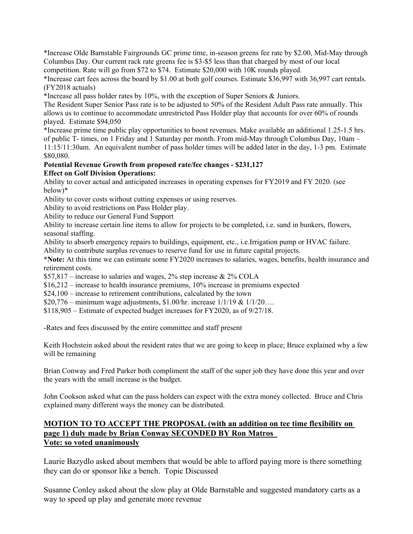\*Increase Olde Barnstable Fairgrounds GC prime time, in-season greens fee rate by \$2.00, Mid-May through Columbus Day. Our current rack rate greens fee is \$3-\$5 less than that charged by most of our local competition. Rate will go from \$72 to \$74. Estimate \$20,000 with 10K rounds played.

\*Increase cart fees across the board by \$1.00 at both golf courses. Estimate \$36,997 with 36,997 cart rentals. (FY2018 actuals)

\*Increase all pass holder rates by 10%, with the exception of Super Seniors & Juniors.

The Resident Super Senior Pass rate is to be adjusted to 50% of the Resident Adult Pass rate annually. This allows us to continue to accommodate unrestricted Pass Holder play that accounts for over 60% of rounds played. Estimate \$94,050

\*Increase prime time public play opportunities to boost revenues. Make available an additional 1.25-1.5 hrs. of public T- times, on 1 Friday and 1 Saturday per month. From mid-May through Columbus Day, 10am – 11:15/11:30am. An equivalent number of pass holder times will be added later in the day, 1-3 pm. Estimate \$80,080.

# **Potential Revenue Growth from proposed rate/fee changes - \$231,127**

**Effect on Golf Division Operations:** 

Ability to cover actual and anticipated increases in operating expenses for FY2019 and FY 2020. (see below)\*

Ability to cover costs without cutting expenses or using reserves.

Ability to avoid restrictions on Pass Holder play.

Ability to reduce our General Fund Support

Ability to increase certain line items to allow for projects to be completed, i.e. sand in bunkers, flowers, seasonal staffing.

Ability to absorb emergency repairs to buildings, equipment, etc., i.e.Irrigation pump or HVAC failure.

Ability to contribute surplus revenues to reserve fund for use in future capital projects.

**\*Note:** At this time we can estimate some FY2020 increases to salaries, wages, benefits, health insurance and retirement costs.

 $$57,817$  – increase to salaries and wages, 2% step increase & 2% COLA

\$16,212 – increase to health insurance premiums, 10% increase in premiums expected

\$24,100 – increase to retirement contributions, calculated by the town

\$20,776 – minimum wage adjustments, \$1.00/hr. increase  $1/1/19 & 1/1/20...$ 

\$118,905 – Estimate of expected budget increases for FY2020, as of 9/27/18.

-Rates and fees discussed by the entire committee and staff present

Keith Hochstein asked about the resident rates that we are going to keep in place; Bruce explained why a few will be remaining

Brian Conway and Fred Parker both compliment the staff of the super job they have done this year and over the years with the small increase is the budget.

John Cookson asked what can the pass holders can expect with the extra money collected. Bruce and Chris explained many different ways the money can be distributed.

## **MOTION TO TO ACCEPT THE PROPOSAL (with an addition on tee time flexibility on page 1) duly made by Brian Conway SECONDED BY Ron Matros Vote: so voted unanimously**

Laurie Bazydlo asked about members that would be able to afford paying more is there something they can do or sponsor like a bench. Topic Discussed

Susanne Conley asked about the slow play at Olde Barnstable and suggested mandatory carts as a way to speed up play and generate more revenue